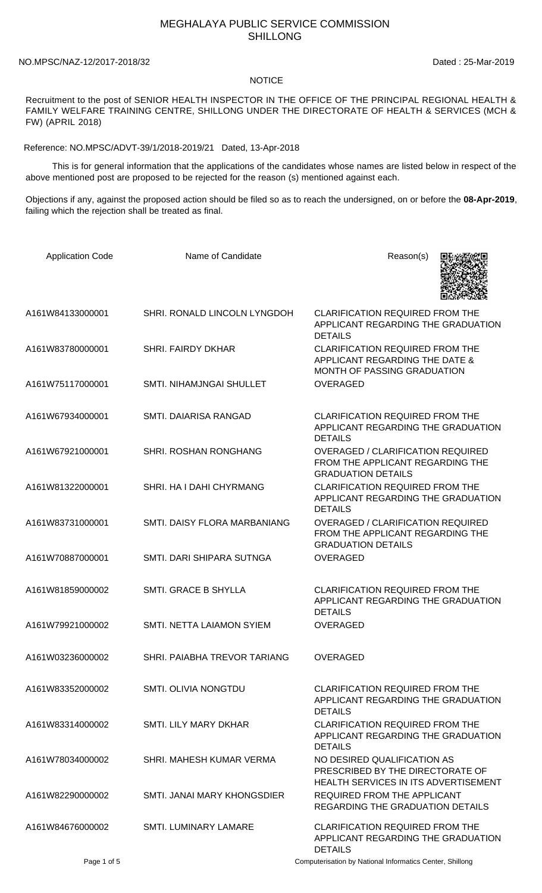## MEGHALAYA PUBLIC SERVICE COMMISSION SHILLONG

NO.MPSC/NAZ-12/2017-2018/32 Dated : 25-Mar-2019

## NOTICE

Recruitment to the post of SENIOR HEALTH INSPECTOR IN THE OFFICE OF THE PRINCIPAL REGIONAL HEALTH & FAMILY WELFARE TRAINING CENTRE, SHILLONG UNDER THE DIRECTORATE OF HEALTH & SERVICES (MCH & FW) (APRIL 2018)

Reference: NO.MPSC/ADVT-39/1/2018-2019/21 Dated, 13-Apr-2018

 This is for general information that the applications of the candidates whose names are listed below in respect of the above mentioned post are proposed to be rejected for the reason (s) mentioned against each.

Objections if any, against the proposed action should be filed so as to reach the undersigned, on or before the **08-Apr-2019**, failing which the rejection shall be treated as final.

| <b>Application Code</b> | Name of Candidate            | Reason(s)                                                                                                      |
|-------------------------|------------------------------|----------------------------------------------------------------------------------------------------------------|
| A161W84133000001        | SHRI. RONALD LINCOLN LYNGDOH | <b>CLARIFICATION REQUIRED FROM THE</b><br>APPLICANT REGARDING THE GRADUATION<br><b>DETAILS</b>                 |
| A161W83780000001        | <b>SHRI. FAIRDY DKHAR</b>    | <b>CLARIFICATION REQUIRED FROM THE</b><br>APPLICANT REGARDING THE DATE &<br><b>MONTH OF PASSING GRADUATION</b> |
| A161W75117000001        | SMTI. NIHAMJNGAI SHULLET     | <b>OVERAGED</b>                                                                                                |
| A161W67934000001        | SMTI. DAIARISA RANGAD        | <b>CLARIFICATION REQUIRED FROM THE</b><br>APPLICANT REGARDING THE GRADUATION<br><b>DETAILS</b>                 |
| A161W67921000001        | SHRI. ROSHAN RONGHANG        | <b>OVERAGED / CLARIFICATION REQUIRED</b><br>FROM THE APPLICANT REGARDING THE<br><b>GRADUATION DETAILS</b>      |
| A161W81322000001        | SHRI. HA I DAHI CHYRMANG     | <b>CLARIFICATION REQUIRED FROM THE</b><br>APPLICANT REGARDING THE GRADUATION<br><b>DETAILS</b>                 |
| A161W83731000001        | SMTI. DAISY FLORA MARBANIANG | <b>OVERAGED / CLARIFICATION REQUIRED</b><br>FROM THE APPLICANT REGARDING THE<br><b>GRADUATION DETAILS</b>      |
| A161W70887000001        | SMTI, DARI SHIPARA SUTNGA    | <b>OVERAGED</b>                                                                                                |
| A161W81859000002        | SMTI. GRACE B SHYLLA         | <b>CLARIFICATION REQUIRED FROM THE</b><br>APPLICANT REGARDING THE GRADUATION<br><b>DETAILS</b>                 |
| A161W79921000002        | SMTI. NETTA LAIAMON SYIEM    | <b>OVERAGED</b>                                                                                                |
| A161W03236000002        | SHRI. PAIABHA TREVOR TARIANG | <b>OVERAGED</b>                                                                                                |
| A161W83352000002        | <b>SMTI. OLIVIA NONGTDU</b>  | CLARIFICATION REQUIRED FROM THE<br>APPLICANT REGARDING THE GRADUATION<br><b>DETAILS</b>                        |
| A161W83314000002        | <b>SMTL LILY MARY DKHAR</b>  | <b>CLARIFICATION REQUIRED FROM THE</b><br>APPLICANT REGARDING THE GRADUATION<br><b>DETAILS</b>                 |
| A161W78034000002        | SHRI. MAHESH KUMAR VERMA     | NO DESIRED QUALIFICATION AS<br>PRESCRIBED BY THE DIRECTORATE OF<br>HEALTH SERVICES IN ITS ADVERTISEMENT        |
| A161W82290000002        | SMTI. JANAI MARY KHONGSDIER  | REQUIRED FROM THE APPLICANT<br>REGARDING THE GRADUATION DETAILS                                                |
| A161W84676000002        | <b>SMTI. LUMINARY LAMARE</b> | <b>CLARIFICATION REQUIRED FROM THE</b><br>APPLICANT REGARDING THE GRADUATION<br><b>DETAILS</b>                 |
| Page 1 of 5             |                              | Computerisation by National Informatics Center, Shillong                                                       |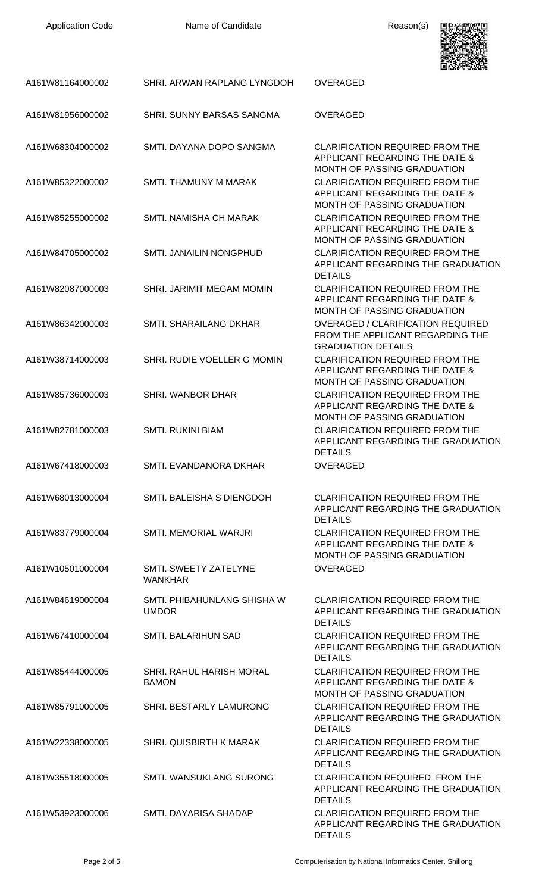Application Code **Name of Candidate Name of Candidate Reason(s)** 



| A161W81164000002 | SHRI. ARWAN RAPLANG LYNGDOH                 | <b>OVERAGED</b>                                                                                                |
|------------------|---------------------------------------------|----------------------------------------------------------------------------------------------------------------|
| A161W81956000002 | SHRI. SUNNY BARSAS SANGMA                   | <b>OVERAGED</b>                                                                                                |
| A161W68304000002 | SMTI. DAYANA DOPO SANGMA                    | <b>CLARIFICATION REQUIRED FROM THE</b><br>APPLICANT REGARDING THE DATE &<br>MONTH OF PASSING GRADUATION        |
| A161W85322000002 | SMTI. THAMUNY M MARAK                       | <b>CLARIFICATION REQUIRED FROM THE</b><br>APPLICANT REGARDING THE DATE &<br>MONTH OF PASSING GRADUATION        |
| A161W85255000002 | SMTI. NAMISHA CH MARAK                      | <b>CLARIFICATION REQUIRED FROM THE</b><br>APPLICANT REGARDING THE DATE &<br>MONTH OF PASSING GRADUATION        |
| A161W84705000002 | SMTI. JANAILIN NONGPHUD                     | <b>CLARIFICATION REQUIRED FROM THE</b><br>APPLICANT REGARDING THE GRADUATION<br><b>DETAILS</b>                 |
| A161W82087000003 | SHRI. JARIMIT MEGAM MOMIN                   | <b>CLARIFICATION REQUIRED FROM THE</b><br>APPLICANT REGARDING THE DATE &<br>MONTH OF PASSING GRADUATION        |
| A161W86342000003 | SMTL SHARAILANG DKHAR                       | <b>OVERAGED / CLARIFICATION REQUIRED</b><br>FROM THE APPLICANT REGARDING THE<br><b>GRADUATION DETAILS</b>      |
| A161W38714000003 | SHRI. RUDIE VOELLER G MOMIN                 | <b>CLARIFICATION REQUIRED FROM THE</b><br>APPLICANT REGARDING THE DATE &<br><b>MONTH OF PASSING GRADUATION</b> |
| A161W85736000003 | SHRI. WANBOR DHAR                           | <b>CLARIFICATION REQUIRED FROM THE</b><br>APPLICANT REGARDING THE DATE &<br>MONTH OF PASSING GRADUATION        |
| A161W82781000003 | <b>SMTI. RUKINI BIAM</b>                    | <b>CLARIFICATION REQUIRED FROM THE</b><br>APPLICANT REGARDING THE GRADUATION<br><b>DETAILS</b>                 |
| A161W67418000003 | SMTI. EVANDANORA DKHAR                      | <b>OVERAGED</b>                                                                                                |
| A161W68013000004 | SMTI. BALEISHA S DIENGDOH                   | <b>CLARIFICATION REQUIRED FROM THE</b><br>APPLICANT REGARDING THE GRADUATION<br><b>DETAILS</b>                 |
| A161W83779000004 | <b>SMTI. MEMORIAL WARJRI</b>                | <b>CLARIFICATION REQUIRED FROM THE</b><br>APPLICANT REGARDING THE DATE &<br>MONTH OF PASSING GRADUATION        |
| A161W10501000004 | SMTI. SWEETY ZATELYNE<br><b>WANKHAR</b>     | <b>OVERAGED</b>                                                                                                |
| A161W84619000004 | SMTI. PHIBAHUNLANG SHISHA W<br><b>UMDOR</b> | <b>CLARIFICATION REQUIRED FROM THE</b><br>APPLICANT REGARDING THE GRADUATION<br><b>DETAILS</b>                 |
| A161W67410000004 | SMTI. BALARIHUN SAD                         | <b>CLARIFICATION REQUIRED FROM THE</b><br>APPLICANT REGARDING THE GRADUATION<br><b>DETAILS</b>                 |
| A161W85444000005 | SHRI. RAHUL HARISH MORAL<br><b>BAMON</b>    | <b>CLARIFICATION REQUIRED FROM THE</b><br>APPLICANT REGARDING THE DATE &<br>MONTH OF PASSING GRADUATION        |
| A161W85791000005 | SHRI. BESTARLY LAMURONG                     | <b>CLARIFICATION REQUIRED FROM THE</b><br>APPLICANT REGARDING THE GRADUATION<br><b>DETAILS</b>                 |
| A161W22338000005 | <b>SHRI. QUISBIRTH K MARAK</b>              | <b>CLARIFICATION REQUIRED FROM THE</b><br>APPLICANT REGARDING THE GRADUATION<br><b>DETAILS</b>                 |
| A161W35518000005 | SMTI. WANSUKLANG SURONG                     | <b>CLARIFICATION REQUIRED FROM THE</b><br>APPLICANT REGARDING THE GRADUATION<br><b>DETAILS</b>                 |
| A161W53923000006 | SMTI. DAYARISA SHADAP                       | <b>CLARIFICATION REQUIRED FROM THE</b><br>APPLICANT REGARDING THE GRADUATION<br><b>DETAILS</b>                 |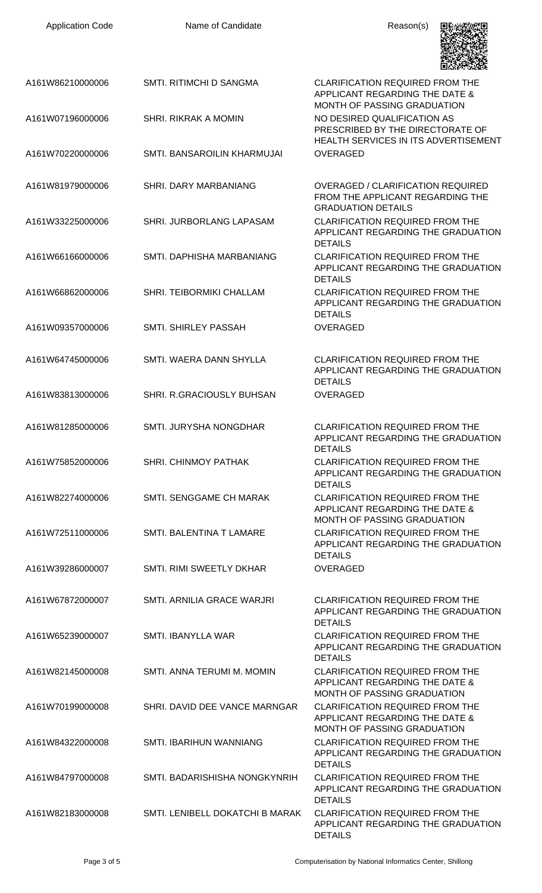| <b>Application Code</b> | Name of Candidate               | Reason(s)                                                                                                 |
|-------------------------|---------------------------------|-----------------------------------------------------------------------------------------------------------|
| A161W86210000006        | SMTI. RITIMCHI D SANGMA         | <b>CLARIFICATION REQUIRED FROM THE</b><br>APPLICANT REGARDING THE DATE &<br>MONTH OF PASSING GRADUATION   |
| A161W07196000006        | SHRI. RIKRAK A MOMIN            | NO DESIRED QUALIFICATION AS<br>PRESCRIBED BY THE DIRECTORATE OF<br>HEALTH SERVICES IN ITS ADVERTISEMENT   |
| A161W70220000006        | SMTI. BANSAROILIN KHARMUJAI     | <b>OVERAGED</b>                                                                                           |
| A161W81979000006        | <b>SHRI. DARY MARBANIANG</b>    | <b>OVERAGED / CLARIFICATION REQUIRED</b><br>FROM THE APPLICANT REGARDING THE<br><b>GRADUATION DETAILS</b> |
| A161W33225000006        | SHRI. JURBORLANG LAPASAM        | <b>CLARIFICATION REQUIRED FROM THE</b><br>APPLICANT REGARDING THE GRADUATION<br><b>DETAILS</b>            |
| A161W66166000006        | SMTI. DAPHISHA MARBANIANG       | <b>CLARIFICATION REQUIRED FROM THE</b><br>APPLICANT REGARDING THE GRADUATION<br><b>DETAILS</b>            |
| A161W66862000006        | SHRI. TEIBORMIKI CHALLAM        | <b>CLARIFICATION REQUIRED FROM THE</b><br>APPLICANT REGARDING THE GRADUATION<br><b>DETAILS</b>            |
| A161W09357000006        | SMTI. SHIRLEY PASSAH            | <b>OVERAGED</b>                                                                                           |
| A161W64745000006        | SMTI. WAERA DANN SHYLLA         | <b>CLARIFICATION REQUIRED FROM THE</b><br>APPLICANT REGARDING THE GRADUATION<br><b>DETAILS</b>            |
| A161W83813000006        | SHRI. R.GRACIOUSLY BUHSAN       | <b>OVERAGED</b>                                                                                           |
| A161W81285000006        | SMTI. JURYSHA NONGDHAR          | <b>CLARIFICATION REQUIRED FROM THE</b><br>APPLICANT REGARDING THE GRADUATION<br><b>DETAILS</b>            |
| A161W75852000006        | SHRI. CHINMOY PATHAK            | <b>CLARIFICATION REQUIRED FROM THE</b><br>APPLICANT REGARDING THE GRADUATION<br><b>DETAILS</b>            |
| A161W82274000006        | SMTI. SENGGAME CH MARAK         | <b>CLARIFICATION REQUIRED FROM THE</b><br>APPLICANT REGARDING THE DATE &<br>MONTH OF PASSING GRADUATION   |
| A161W72511000006        | SMTI. BALENTINA T LAMARE        | <b>CLARIFICATION REQUIRED FROM THE</b><br>APPLICANT REGARDING THE GRADUATION<br><b>DETAILS</b>            |
| A161W39286000007        | SMTI. RIMI SWEETLY DKHAR        | <b>OVERAGED</b>                                                                                           |
| A161W67872000007        | SMTI. ARNILIA GRACE WARJRI      | <b>CLARIFICATION REQUIRED FROM THE</b><br>APPLICANT REGARDING THE GRADUATION<br><b>DETAILS</b>            |
| A161W65239000007        | <b>SMTI. IBANYLLA WAR</b>       | <b>CLARIFICATION REQUIRED FROM THE</b><br>APPLICANT REGARDING THE GRADUATION<br><b>DETAILS</b>            |
| A161W82145000008        | SMTI. ANNA TERUMI M. MOMIN      | <b>CLARIFICATION REQUIRED FROM THE</b><br>APPLICANT REGARDING THE DATE &<br>MONTH OF PASSING GRADUATION   |
| A161W70199000008        | SHRI. DAVID DEE VANCE MARNGAR   | <b>CLARIFICATION REQUIRED FROM THE</b><br>APPLICANT REGARDING THE DATE &<br>MONTH OF PASSING GRADUATION   |
| A161W84322000008        | <b>SMTI. IBARIHUN WANNIANG</b>  | <b>CLARIFICATION REQUIRED FROM THE</b><br>APPLICANT REGARDING THE GRADUATION<br><b>DETAILS</b>            |
| A161W84797000008        | SMTI, BADARISHISHA NONGKYNRIH   | <b>CLARIFICATION REQUIRED FROM THE</b><br>APPLICANT REGARDING THE GRADUATION<br><b>DETAILS</b>            |
| A161W82183000008        | SMTI. LENIBELL DOKATCHI B MARAK | <b>CLARIFICATION REQUIRED FROM THE</b><br>APPLICANT REGARDING THE GRADUATION<br><b>DETAILS</b>            |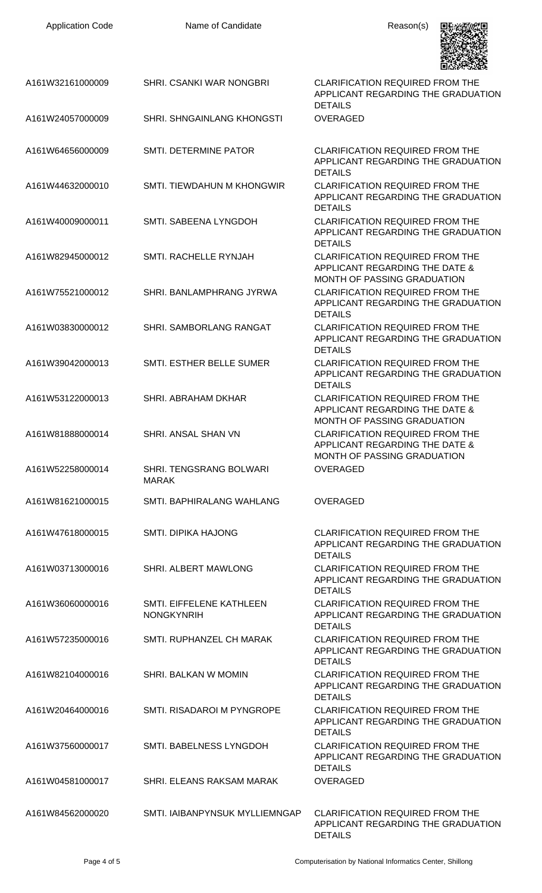| <b>Application Code</b> | Name of Candidate                              | Reason(s)                                                                                                      |
|-------------------------|------------------------------------------------|----------------------------------------------------------------------------------------------------------------|
| A161W32161000009        | SHRI. CSANKI WAR NONGBRI                       | <b>CLARIFICATION REQUIRED FROM THE</b><br>APPLICANT REGARDING THE GRADUATION<br><b>DETAILS</b>                 |
| A161W24057000009        | <b>SHRI. SHNGAINLANG KHONGSTI</b>              | <b>OVERAGED</b>                                                                                                |
| A161W64656000009        | SMTI. DETERMINE PATOR                          | <b>CLARIFICATION REQUIRED FROM THE</b><br>APPLICANT REGARDING THE GRADUATION<br><b>DETAILS</b>                 |
| A161W44632000010        | <b>SMTI. TIEWDAHUN M KHONGWIR</b>              | <b>CLARIFICATION REQUIRED FROM THE</b><br>APPLICANT REGARDING THE GRADUATION<br><b>DETAILS</b>                 |
| A161W40009000011        | SMTI. SABEENA LYNGDOH                          | <b>CLARIFICATION REQUIRED FROM THE</b><br>APPLICANT REGARDING THE GRADUATION<br><b>DETAILS</b>                 |
| A161W82945000012        | SMTI, RACHELLE RYNJAH                          | <b>CLARIFICATION REQUIRED FROM THE</b><br>APPLICANT REGARDING THE DATE &<br>MONTH OF PASSING GRADUATION        |
| A161W75521000012        | SHRI, BANLAMPHRANG JYRWA                       | <b>CLARIFICATION REQUIRED FROM THE</b><br>APPLICANT REGARDING THE GRADUATION<br><b>DETAILS</b>                 |
| A161W03830000012        | SHRI. SAMBORLANG RANGAT                        | <b>CLARIFICATION REQUIRED FROM THE</b><br>APPLICANT REGARDING THE GRADUATION<br><b>DETAILS</b>                 |
| A161W39042000013        | SMTI. ESTHER BELLE SUMER                       | <b>CLARIFICATION REQUIRED FROM THE</b><br>APPLICANT REGARDING THE GRADUATION<br><b>DETAILS</b>                 |
| A161W53122000013        | <b>SHRI. ABRAHAM DKHAR</b>                     | <b>CLARIFICATION REQUIRED FROM THE</b><br>APPLICANT REGARDING THE DATE &<br><b>MONTH OF PASSING GRADUATION</b> |
| A161W81888000014        | SHRI. ANSAL SHAN VN                            | <b>CLARIFICATION REQUIRED FROM THE</b><br>APPLICANT REGARDING THE DATE &<br>MONTH OF PASSING GRADUATION        |
| A161W52258000014        | <b>SHRI. TENGSRANG BOLWARI</b><br><b>MARAK</b> | <b>OVERAGED</b>                                                                                                |
| A161W81621000015        | SMTI. BAPHIRALANG WAHLANG                      | <b>OVERAGED</b>                                                                                                |
| A161W47618000015        | <b>SMTI. DIPIKA HAJONG</b>                     | <b>CLARIFICATION REQUIRED FROM THE</b><br>APPLICANT REGARDING THE GRADUATION<br><b>DETAILS</b>                 |
| A161W03713000016        | SHRI. ALBERT MAWLONG                           | <b>CLARIFICATION REQUIRED FROM THE</b><br>APPLICANT REGARDING THE GRADUATION<br><b>DETAILS</b>                 |
| A161W36060000016        | SMTI. EIFFELENE KATHLEEN<br><b>NONGKYNRIH</b>  | <b>CLARIFICATION REQUIRED FROM THE</b><br>APPLICANT REGARDING THE GRADUATION<br><b>DETAILS</b>                 |
| A161W57235000016        | SMTI, RUPHANZEL CH MARAK                       | <b>CLARIFICATION REQUIRED FROM THE</b><br>APPLICANT REGARDING THE GRADUATION<br><b>DETAILS</b>                 |
| A161W82104000016        | SHRI. BALKAN W MOMIN                           | <b>CLARIFICATION REQUIRED FROM THE</b><br>APPLICANT REGARDING THE GRADUATION<br><b>DETAILS</b>                 |
| A161W20464000016        | SMTI. RISADAROI M PYNGROPE                     | <b>CLARIFICATION REQUIRED FROM THE</b><br>APPLICANT REGARDING THE GRADUATION<br><b>DETAILS</b>                 |
| A161W37560000017        | SMTI. BABELNESS LYNGDOH                        | <b>CLARIFICATION REQUIRED FROM THE</b><br>APPLICANT REGARDING THE GRADUATION<br><b>DETAILS</b>                 |
| A161W04581000017        | SHRI. ELEANS RAKSAM MARAK                      | <b>OVERAGED</b>                                                                                                |
| A161W84562000020        | SMTI. IAIBANPYNSUK MYLLIEMNGAP                 | CLARIFICATION REQUIRED FROM THE<br>APPLICANT REGARDING THE GRADUATION<br><b>DETAILS</b>                        |